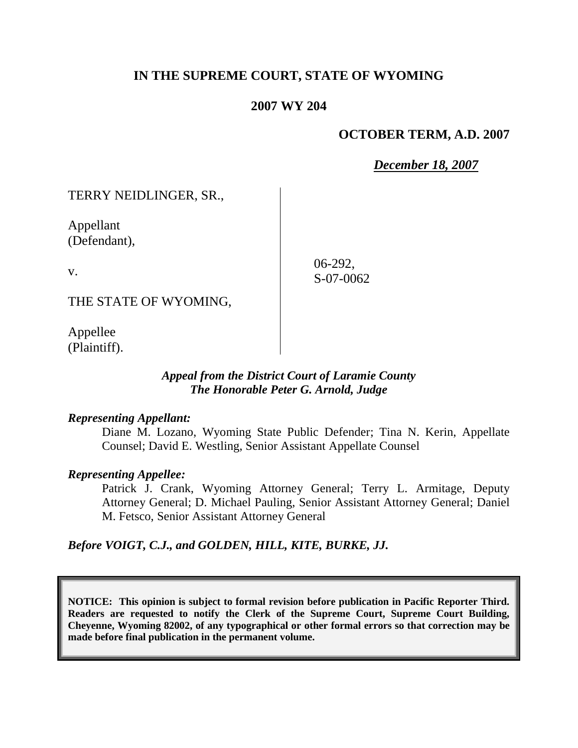# **IN THE SUPREME COURT, STATE OF WYOMING**

### **2007 WY 204**

## **OCTOBER TERM, A.D. 2007**

*December 18, 2007*

TERRY NEIDLINGER, SR.,

Appellant (Defendant),

v.

06-292, S-07-0062

THE STATE OF WYOMING,

Appellee (Plaintiff).

### *Appeal from the District Court of Laramie County The Honorable Peter G. Arnold, Judge*

### *Representing Appellant:*

Diane M. Lozano, Wyoming State Public Defender; Tina N. Kerin, Appellate Counsel; David E. Westling, Senior Assistant Appellate Counsel

### *Representing Appellee:*

Patrick J. Crank, Wyoming Attorney General; Terry L. Armitage, Deputy Attorney General; D. Michael Pauling, Senior Assistant Attorney General; Daniel M. Fetsco, Senior Assistant Attorney General

### *Before VOIGT, C.J., and GOLDEN, HILL, KITE, BURKE, JJ.*

**NOTICE: This opinion is subject to formal revision before publication in Pacific Reporter Third. Readers are requested to notify the Clerk of the Supreme Court, Supreme Court Building, Cheyenne, Wyoming 82002, of any typographical or other formal errors so that correction may be made before final publication in the permanent volume.**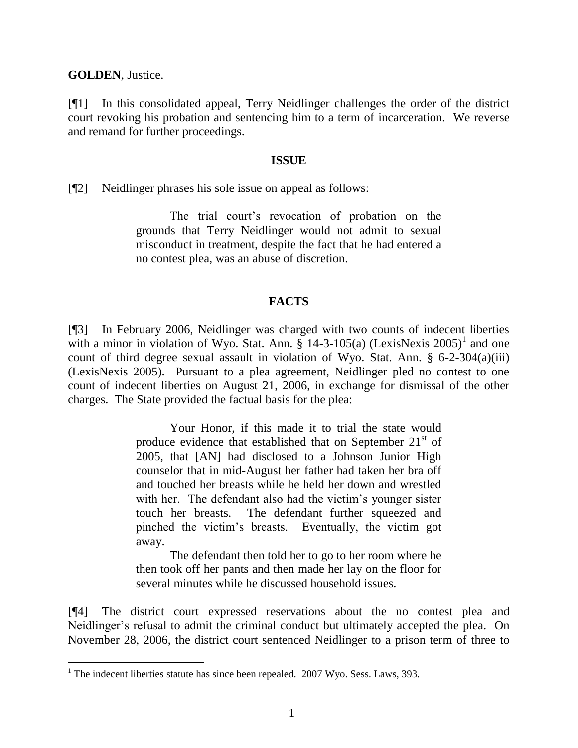**GOLDEN**, Justice.

[¶1] In this consolidated appeal, Terry Neidlinger challenges the order of the district court revoking his probation and sentencing him to a term of incarceration. We reverse and remand for further proceedings.

#### **ISSUE**

[¶2] Neidlinger phrases his sole issue on appeal as follows:

The trial court's revocation of probation on the grounds that Terry Neidlinger would not admit to sexual misconduct in treatment, despite the fact that he had entered a no contest plea, was an abuse of discretion.

### **FACTS**

[¶3] In February 2006, Neidlinger was charged with two counts of indecent liberties with a minor in violation of Wyo. Stat. Ann.  $\S$  14-3-105(a) (LexisNexis 2005)<sup>1</sup> and one count of third degree sexual assault in violation of Wyo. Stat. Ann. § 6-2-304(a)(iii) (LexisNexis 2005). Pursuant to a plea agreement, Neidlinger pled no contest to one count of indecent liberties on August 21, 2006, in exchange for dismissal of the other charges. The State provided the factual basis for the plea:

> Your Honor, if this made it to trial the state would produce evidence that established that on September 21<sup>st</sup> of 2005, that [AN] had disclosed to a Johnson Junior High counselor that in mid-August her father had taken her bra off and touched her breasts while he held her down and wrestled with her. The defendant also had the victim's younger sister touch her breasts. The defendant further squeezed and pinched the victim's breasts. Eventually, the victim got away.

> The defendant then told her to go to her room where he then took off her pants and then made her lay on the floor for several minutes while he discussed household issues.

[¶4] The district court expressed reservations about the no contest plea and Neidlinger's refusal to admit the criminal conduct but ultimately accepted the plea. On November 28, 2006, the district court sentenced Neidlinger to a prison term of three to

 $1$  The indecent liberties statute has since been repealed. 2007 Wyo. Sess. Laws, 393.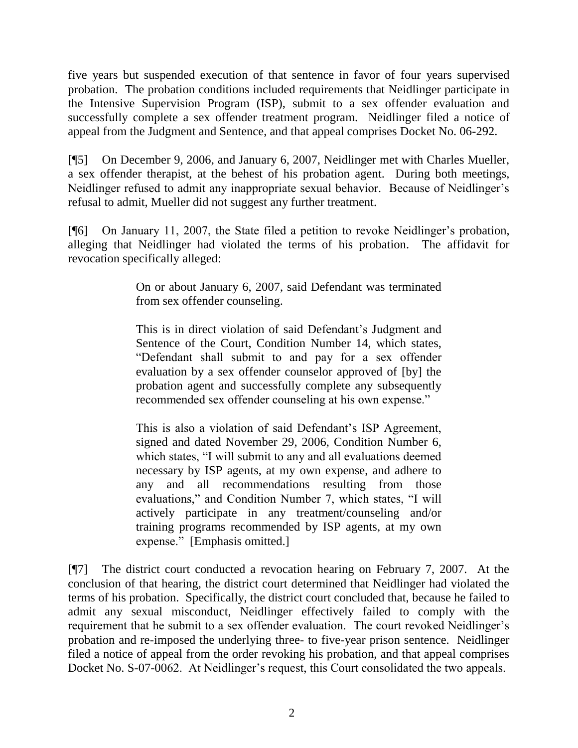five years but suspended execution of that sentence in favor of four years supervised probation. The probation conditions included requirements that Neidlinger participate in the Intensive Supervision Program (ISP), submit to a sex offender evaluation and successfully complete a sex offender treatment program. Neidlinger filed a notice of appeal from the Judgment and Sentence, and that appeal comprises Docket No. 06-292.

[¶5] On December 9, 2006, and January 6, 2007, Neidlinger met with Charles Mueller, a sex offender therapist, at the behest of his probation agent. During both meetings, Neidlinger refused to admit any inappropriate sexual behavior. Because of Neidlinger's refusal to admit, Mueller did not suggest any further treatment.

[¶6] On January 11, 2007, the State filed a petition to revoke Neidlinger's probation, alleging that Neidlinger had violated the terms of his probation. The affidavit for revocation specifically alleged:

> On or about January 6, 2007, said Defendant was terminated from sex offender counseling.

> This is in direct violation of said Defendant's Judgment and Sentence of the Court, Condition Number 14, which states, "Defendant shall submit to and pay for a sex offender evaluation by a sex offender counselor approved of [by] the probation agent and successfully complete any subsequently recommended sex offender counseling at his own expense."

> This is also a violation of said Defendant's ISP Agreement, signed and dated November 29, 2006, Condition Number 6, which states, "I will submit to any and all evaluations deemed necessary by ISP agents, at my own expense, and adhere to any and all recommendations resulting from those evaluations," and Condition Number 7, which states, "I will actively participate in any treatment/counseling and/or training programs recommended by ISP agents, at my own expense." [Emphasis omitted.]

[¶7] The district court conducted a revocation hearing on February 7, 2007. At the conclusion of that hearing, the district court determined that Neidlinger had violated the terms of his probation. Specifically, the district court concluded that, because he failed to admit any sexual misconduct, Neidlinger effectively failed to comply with the requirement that he submit to a sex offender evaluation. The court revoked Neidlinger's probation and re-imposed the underlying three- to five-year prison sentence. Neidlinger filed a notice of appeal from the order revoking his probation, and that appeal comprises Docket No. S-07-0062. At Neidlinger's request, this Court consolidated the two appeals.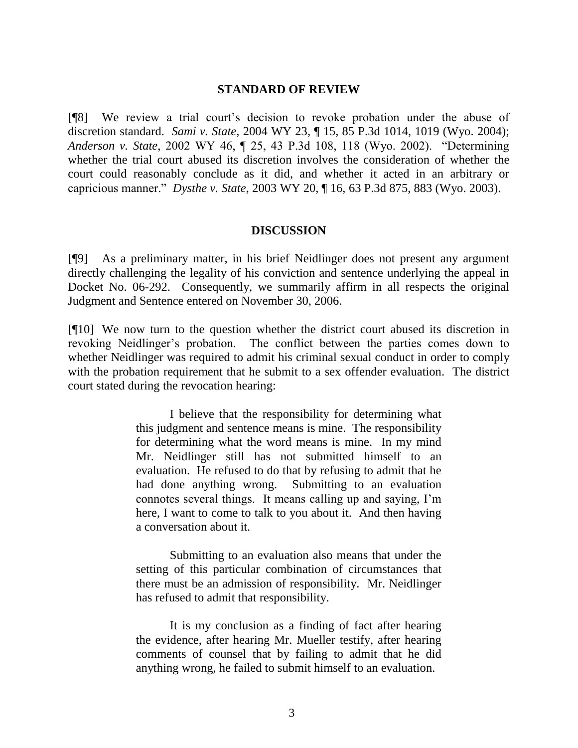#### **STANDARD OF REVIEW**

[¶8] We review a trial court's decision to revoke probation under the abuse of discretion standard. *Sami v. State*, 2004 WY 23, ¶ 15, 85 P.3d 1014, 1019 (Wyo. 2004); *Anderson v. State*, 2002 WY 46, ¶ 25, 43 P.3d 108, 118 (Wyo. 2002). "Determining whether the trial court abused its discretion involves the consideration of whether the court could reasonably conclude as it did, and whether it acted in an arbitrary or capricious manner." *Dysthe v. State*, 2003 WY 20, ¶ 16, 63 P.3d 875, 883 (Wyo. 2003).

#### **DISCUSSION**

[¶9] As a preliminary matter, in his brief Neidlinger does not present any argument directly challenging the legality of his conviction and sentence underlying the appeal in Docket No. 06-292. Consequently, we summarily affirm in all respects the original Judgment and Sentence entered on November 30, 2006.

[¶10] We now turn to the question whether the district court abused its discretion in revoking Neidlinger's probation. The conflict between the parties comes down to whether Neidlinger was required to admit his criminal sexual conduct in order to comply with the probation requirement that he submit to a sex offender evaluation. The district court stated during the revocation hearing:

> I believe that the responsibility for determining what this judgment and sentence means is mine. The responsibility for determining what the word means is mine. In my mind Mr. Neidlinger still has not submitted himself to an evaluation. He refused to do that by refusing to admit that he had done anything wrong. Submitting to an evaluation connotes several things. It means calling up and saying, I'm here, I want to come to talk to you about it. And then having a conversation about it.

> Submitting to an evaluation also means that under the setting of this particular combination of circumstances that there must be an admission of responsibility. Mr. Neidlinger has refused to admit that responsibility.

> It is my conclusion as a finding of fact after hearing the evidence, after hearing Mr. Mueller testify, after hearing comments of counsel that by failing to admit that he did anything wrong, he failed to submit himself to an evaluation.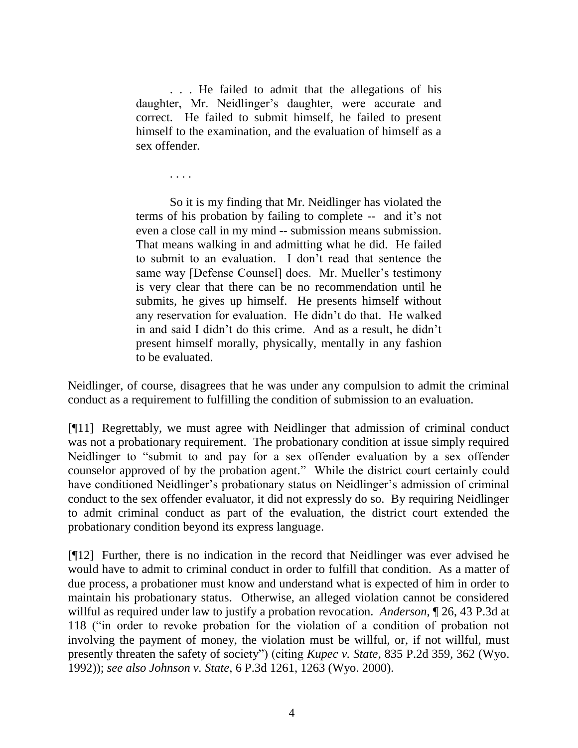. . . He failed to admit that the allegations of his daughter, Mr. Neidlinger's daughter, were accurate and correct. He failed to submit himself, he failed to present himself to the examination, and the evaluation of himself as a sex offender.

. . . .

So it is my finding that Mr. Neidlinger has violated the terms of his probation by failing to complete -- and it's not even a close call in my mind -- submission means submission. That means walking in and admitting what he did. He failed to submit to an evaluation. I don't read that sentence the same way [Defense Counsel] does. Mr. Mueller's testimony is very clear that there can be no recommendation until he submits, he gives up himself. He presents himself without any reservation for evaluation. He didn't do that. He walked in and said I didn't do this crime. And as a result, he didn't present himself morally, physically, mentally in any fashion to be evaluated.

Neidlinger, of course, disagrees that he was under any compulsion to admit the criminal conduct as a requirement to fulfilling the condition of submission to an evaluation.

[¶11] Regrettably, we must agree with Neidlinger that admission of criminal conduct was not a probationary requirement. The probationary condition at issue simply required Neidlinger to "submit to and pay for a sex offender evaluation by a sex offender counselor approved of by the probation agent." While the district court certainly could have conditioned Neidlinger's probationary status on Neidlinger's admission of criminal conduct to the sex offender evaluator, it did not expressly do so. By requiring Neidlinger to admit criminal conduct as part of the evaluation, the district court extended the probationary condition beyond its express language.

[¶12] Further, there is no indication in the record that Neidlinger was ever advised he would have to admit to criminal conduct in order to fulfill that condition. As a matter of due process, a probationer must know and understand what is expected of him in order to maintain his probationary status. Otherwise, an alleged violation cannot be considered willful as required under law to justify a probation revocation. *Anderson,* ¶ 26, 43 P.3d at 118 ("in order to revoke probation for the violation of a condition of probation not involving the payment of money, the violation must be willful, or, if not willful, must presently threaten the safety of society") (citing *Kupec v. State*, 835 P.2d 359, 362 (Wyo. 1992)); *see also Johnson v. State*, 6 P.3d 1261, 1263 (Wyo. 2000).